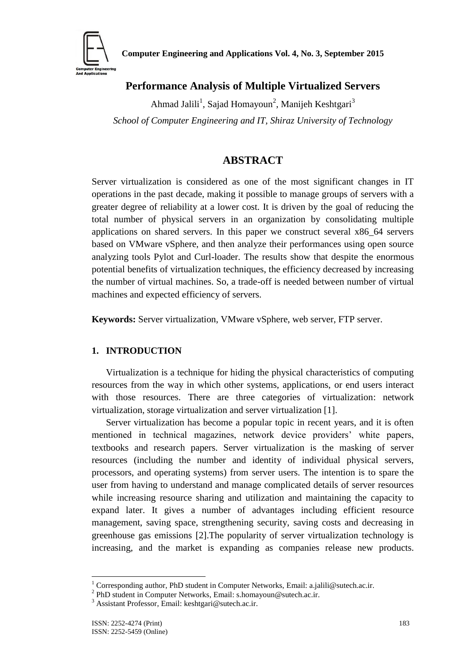

# **Performance Analysis of Multiple Virtualized Servers**

Ahmad Jalili<sup>1</sup>, Sajad Homayoun<sup>2</sup>, Manijeh Keshtgari<sup>3</sup> *School of Computer Engineering and IT, Shiraz University of Technology*

## **ABSTRACT**

Server virtualization is considered as one of the most significant changes in IT operations in the past decade, making it possible to manage groups of servers with a greater degree of reliability at a lower cost. It is driven by the goal of reducing the total number of physical servers in an organization by consolidating multiple applications on shared servers. In this paper we construct several x86\_64 servers based on VMware vSphere, and then analyze their performances using open source analyzing tools Pylot and Curl-loader. The results show that despite the enormous potential benefits of virtualization techniques, the efficiency decreased by increasing the number of virtual machines. So, a trade-off is needed between number of virtual machines and expected efficiency of servers.

**Keywords:** Server virtualization, VMware vSphere, web server, FTP server.

## **1. INTRODUCTION**

Virtualization is a technique for hiding the physical characteristics of computing resources from the way in which other systems, applications, or end users interact with those resources. There are three categories of virtualization: network virtualization, storage virtualization and server virtualization [1].

Server virtualization has become a popular topic in recent years, and it is often mentioned in technical magazines, network device providers' white papers, textbooks and research papers. Server virtualization is the masking of server resources (including the number and identity of individual physical servers, processors, and operating systems) from server users. The intention is to spare the user from having to understand and manage complicated details of server resources while increasing resource sharing and utilization and maintaining the capacity to expand later. It gives a number of advantages including efficient resource management, saving space, strengthening security, saving costs and decreasing in greenhouse gas emissions [2].The popularity of server virtualization technology is increasing, and the market is expanding as companies release new products.

1

Corresponding author, PhD student in Computer Networks, Email: a.jalili@sutech.ac.ir.

<sup>&</sup>lt;sup>2</sup> PhD student in Computer Networks, Email: s.homayoun@sutech.ac.ir.

<sup>3</sup> Assistant Professor, Email: keshtgari@sutech.ac.ir.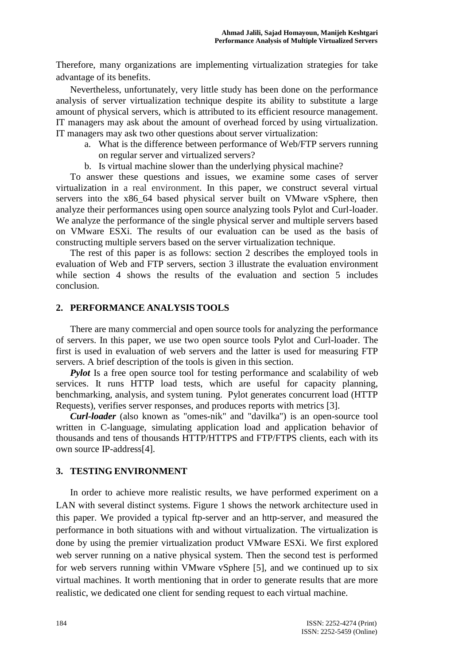Therefore, many organizations are implementing virtualization strategies for take advantage of its benefits.

Nevertheless, unfortunately, very little study has been done on the performance analysis of server virtualization technique despite its ability to substitute a large amount of physical servers, which is attributed to its efficient resource management. IT managers may ask about the amount of overhead forced by using virtualization. IT managers may ask two other questions about server virtualization:

- a. What is the difference between performance of Web/FTP servers running on regular server and virtualized servers?
- b. Is virtual machine slower than the underlying physical machine?

To answer these questions and issues, we examine some cases of server virtualization in a real environment. In this paper, we construct several virtual servers into the x86\_64 based physical server built on VMware vSphere, then analyze their performances using open source analyzing tools Pylot and Curl-loader. We analyze the performance of the single physical server and multiple servers based on VMware ESXi. The results of our evaluation can be used as the basis of constructing multiple servers based on the server virtualization technique.

The rest of this paper is as follows: section 2 describes the employed tools in evaluation of Web and FTP servers, section 3 illustrate the evaluation environment while section 4 shows the results of the evaluation and section 5 includes conclusion.

#### **2. PERFORMANCE ANALYSIS TOOLS**

There are many commercial and open source tools for analyzing the performance of servers. In this paper, we use two open source tools Pylot and Curl-loader. The first is used in evaluation of web servers and the latter is used for measuring FTP servers. A brief description of the tools is given in this section.

*Pylot* Is a free open source tool for testing performance and scalability of web services. It runs HTTP load tests, which are useful for capacity planning, benchmarking, analysis, and system tuning. Pylot generates concurrent load (HTTP Requests), verifies server responses, and produces reports with metrics [3].

*Curl-loader* (also known as "omes-nik" and "davilka") is an open-source tool written in C-language, simulating application load and application behavior of thousands and tens of thousands HTTP/HTTPS and FTP/FTPS clients, each with its own source IP-address[4].

## **3. TESTING ENVIRONMENT**

In order to achieve more realistic results, we have performed experiment on a LAN with several distinct systems. Figure 1 shows the network architecture used in this paper. We provided a typical ftp-server and an http-server, and measured the performance in both situations with and without virtualization. The virtualization is done by using the premier virtualization product VMware ESXi. We first explored web server running on a native physical system. Then the second test is performed for web servers running within VMware vSphere [5], and we continued up to six virtual machines. It worth mentioning that in order to generate results that are more realistic, we dedicated one client for sending request to each virtual machine.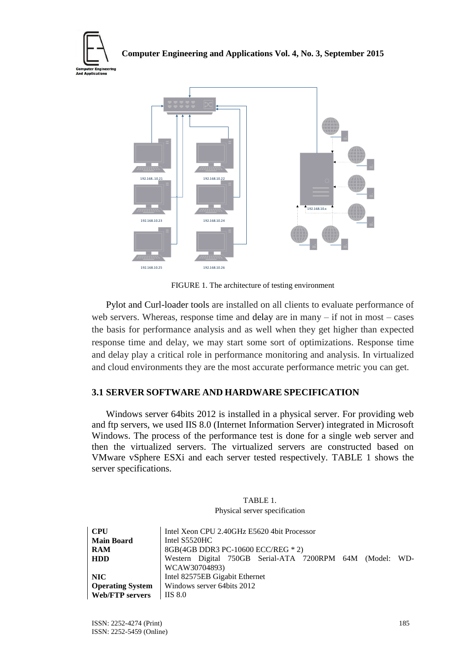



FIGURE 1. The architecture of testing environment

Pylot and Curl-loader tools are installed on all clients to evaluate performance of web servers. Whereas, response time and delay are in many – if not in most – cases the basis for performance analysis and as well when they get higher than expected response time and delay, we may start some sort of optimizations. Response time and delay play a critical role in performance monitoring and analysis. In virtualized and cloud environments they are the most accurate performance metric you can get.

## **3.1 SERVER SOFTWARE AND HARDWARE SPECIFICATION**

Windows server 64bits 2012 is installed in a physical server. For providing web and ftp servers, we used IIS 8.0 (Internet Information Server) integrated in Microsoft Windows. The process of the performance test is done for a single web server and then the virtualized servers. The virtualized servers are constructed based on VMware vSphere ESXi and each server tested respectively. TABLE 1 shows the server specifications.

| TABLE 1.                      |
|-------------------------------|
| Physical server specification |

| <b>CPU</b>              | Intel Xeon CPU 2.40GHz E5620 4bit Processor              |  |  |
|-------------------------|----------------------------------------------------------|--|--|
| <b>Main Board</b>       | Intel S5520HC                                            |  |  |
| <b>RAM</b>              | 8GB(4GB DDR3 PC-10600 ECC/REG * 2)                       |  |  |
| <b>HDD</b>              | Western Digital 750GB Serial-ATA 7200RPM 64M (Model: WD- |  |  |
|                         | WCAW30704893)                                            |  |  |
| NIC.                    | Intel 82575EB Gigabit Ethernet                           |  |  |
| <b>Operating System</b> | Windows server 64bits 2012                               |  |  |
| <b>Web/FTP servers</b>  | <b>IIS 8.0</b>                                           |  |  |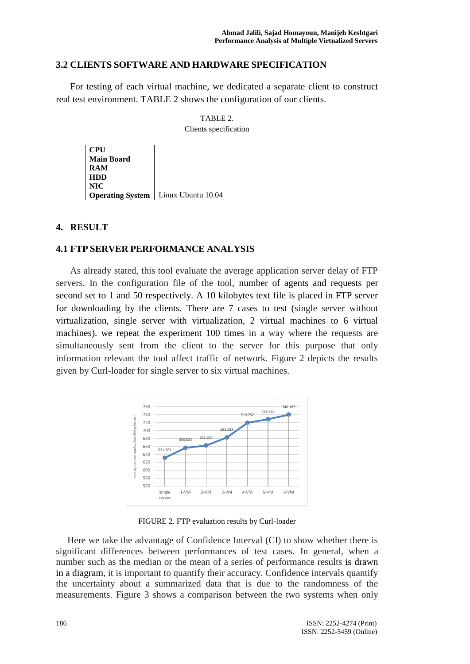## **3.2 CLIENTS SOFTWARE AND HARDWARE SPECIFICATION**

For testing of each virtual machine, we dedicated a separate client to construct real test environment. TABLE 2 shows the configuration of our clients.

> TABLE 2. Clients specification

**CPU Main Board RAM HDD NIC Operating System** | Linux Ubuntu 10.04

#### **4. RESULT**

#### **4.1 FTP SERVER PERFORMANCE ANALYSIS**

As already stated, this tool evaluate the average application server delay of FTP servers. In the configuration file of the tool, number of agents and requests per second set to 1 and 50 respectively. A 10 kilobytes text file is placed in FTP server for downloading by the clients. There are 7 cases to test (single server without virtualization, single server with virtualization, 2 virtual machines to 6 virtual machines). we repeat the experiment 100 times in a way where the requests are simultaneously sent from the client to the server for this purpose that only information relevant the tool affect traffic of network. Figure 2 depicts the results given by Curl-loader for single server to six virtual machines.



FIGURE 2. FTP evaluation results by Curl-loader

Here we take the advantage of Confidence Interval (CI) to show whether there is significant differences between performances of test cases. In general, when a number such as the median or the mean of a series of performance results is drawn in a diagram, it is important to quantify their accuracy. Confidence intervals quantify the uncertainty about a summarized data that is due to the randomness of the measurements. Figure 3 shows a comparison between the two systems when only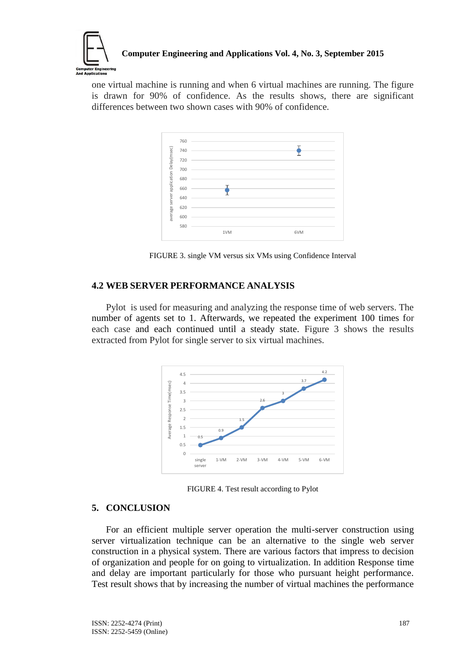

one virtual machine is running and when 6 virtual machines are running. The figure is drawn for 90% of confidence. As the results shows, there are significant differences between two shown cases with 90% of confidence.



FIGURE 3. single VM versus six VMs using Confidence Interval

## **4.2 WEB SERVER PERFORMANCE ANALYSIS**

Pylot is used for measuring and analyzing the response time of web servers. The number of agents set to 1. Afterwards, we repeated the experiment 100 times for each case and each continued until a steady state. Figure 3 shows the results extracted from Pylot for single server to six virtual machines.



FIGURE 4. Test result according to Pylot

#### **5. CONCLUSION**

For an efficient multiple server operation the multi-server construction using server virtualization technique can be an alternative to the single web server construction in a physical system. There are various factors that impress to decision of organization and people for on going to virtualization. In addition Response time and delay are important particularly for those who pursuant height performance. Test result shows that by increasing the number of virtual machines the performance